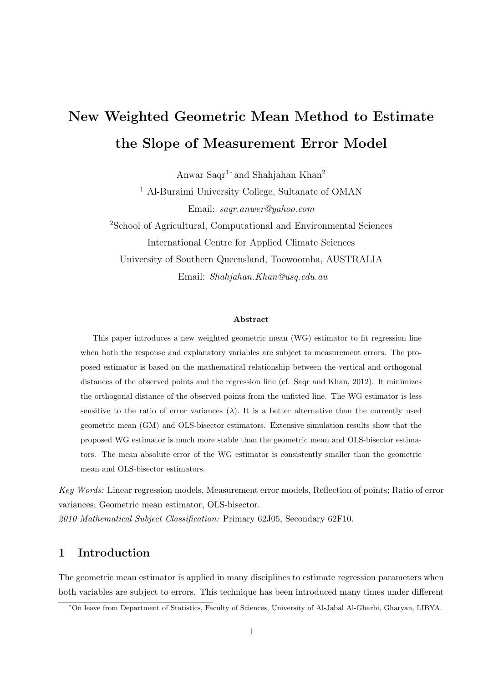# **New Weighted Geometric Mean Method to Estimate the Slope of Measurement Error Model**

Anwar Saqr<sup>1</sup>*<sup>∗</sup>* and Shahjahan Khan<sup>2</sup>

<sup>1</sup> Al-Buraimi University College, Sultanate of OMAN Email: *saqr.anwer@yahoo.com*

<sup>2</sup>School of Agricultural, Computational and Environmental Sciences International Centre for Applied Climate Sciences University of Southern Queensland, Toowoomba, AUSTRALIA Email: *Shahjahan.Khan@usq.edu.au*

#### **Abstract**

This paper introduces a new weighted geometric mean (WG) estimator to fit regression line when both the response and explanatory variables are subject to measurement errors. The proposed estimator is based on the mathematical relationship between the vertical and orthogonal distances of the observed points and the regression line (cf. Saqr and Khan, 2012). It minimizes the orthogonal distance of the observed points from the unfitted line. The WG estimator is less sensitive to the ratio of error variances  $(\lambda)$ . It is a better alternative than the currently used geometric mean (GM) and OLS-bisector estimators. Extensive simulation results show that the proposed WG estimator is much more stable than the geometric mean and OLS-bisector estimators. The mean absolute error of the WG estimator is consistently smaller than the geometric mean and OLS-bisector estimators.

*Key Words:* Linear regression models, Measurement error models, Reflection of points; Ratio of error variances; Geometric mean estimator, OLS-bisector. *2010 Mathematical Subject Classification:* Primary 62J05, Secondary 62F10.

# **1 Introduction**

The geometric mean estimator is applied in many disciplines to estimate regression parameters when both variables are subject to errors. This technique has been introduced many times under different

*<sup>∗</sup>*On leave from Department of Statistics, Faculty of Sciences, University of Al-Jabal Al-Gharbi, Gharyan, LIBYA.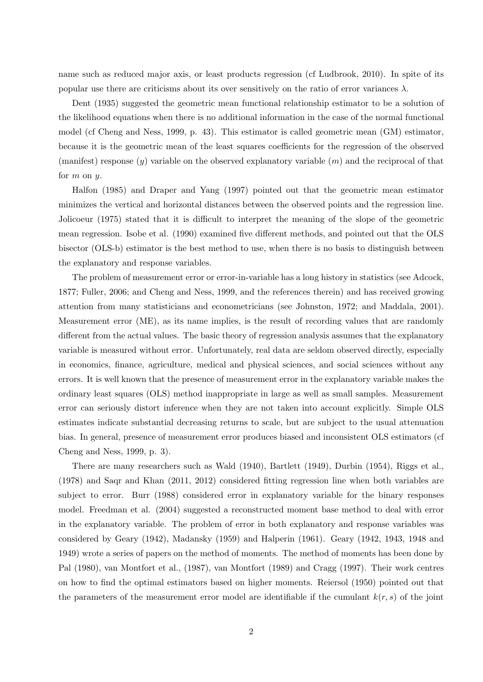name such as reduced major axis, or least products regression (cf Ludbrook, 2010). In spite of its popular use there are criticisms about its over sensitively on the ratio of error variances  $\lambda$ .

Dent (1935) suggested the geometric mean functional relationship estimator to be a solution of the likelihood equations when there is no additional information in the case of the normal functional model (cf Cheng and Ness, 1999, p. 43). This estimator is called geometric mean (GM) estimator, because it is the geometric mean of the least squares coefficients for the regression of the observed (manifest) response (*y*) variable on the observed explanatory variable (*m*) and the reciprocal of that for *m* on *y.*

Halfon (1985) and Draper and Yang (1997) pointed out that the geometric mean estimator minimizes the vertical and horizontal distances between the observed points and the regression line. Jolicoeur (1975) stated that it is difficult to interpret the meaning of the slope of the geometric mean regression. Isobe et al. (1990) examined five different methods, and pointed out that the OLS bisector (OLS-b) estimator is the best method to use, when there is no basis to distinguish between the explanatory and response variables.

The problem of measurement error or error-in-variable has a long history in statistics (see Adcock, 1877; Fuller, 2006; and Cheng and Ness, 1999, and the references therein) and has received growing attention from many statisticians and econometricians (see Johnston, 1972; and Maddala, 2001). Measurement error (ME), as its name implies, is the result of recording values that are randomly different from the actual values. The basic theory of regression analysis assumes that the explanatory variable is measured without error. Unfortunately, real data are seldom observed directly, especially in economics, finance, agriculture, medical and physical sciences, and social sciences without any errors. It is well known that the presence of measurement error in the explanatory variable makes the ordinary least squares (OLS) method inappropriate in large as well as small samples. Measurement error can seriously distort inference when they are not taken into account explicitly. Simple OLS estimates indicate substantial decreasing returns to scale, but are subject to the usual attenuation bias. In general, presence of measurement error produces biased and inconsistent OLS estimators (cf Cheng and Ness, 1999, p. 3).

There are many researchers such as Wald (1940), Bartlett (1949), Durbin (1954), Riggs et al., (1978) and Saqr and Khan (2011, 2012) considered fitting regression line when both variables are subject to error. Burr (1988) considered error in explanatory variable for the binary responses model. Freedman et al. (2004) suggested a reconstructed moment base method to deal with error in the explanatory variable. The problem of error in both explanatory and response variables was considered by Geary (1942), Madansky (1959) and Halperin (1961). Geary (1942, 1943, 1948 and 1949) wrote a series of papers on the method of moments. The method of moments has been done by Pal (1980), van Montfort et al., (1987), van Montfort (1989) and Cragg (1997). Their work centres on how to find the optimal estimators based on higher moments. Reiersol (1950) pointed out that the parameters of the measurement error model are identifiable if the cumulant  $k(r, s)$  of the joint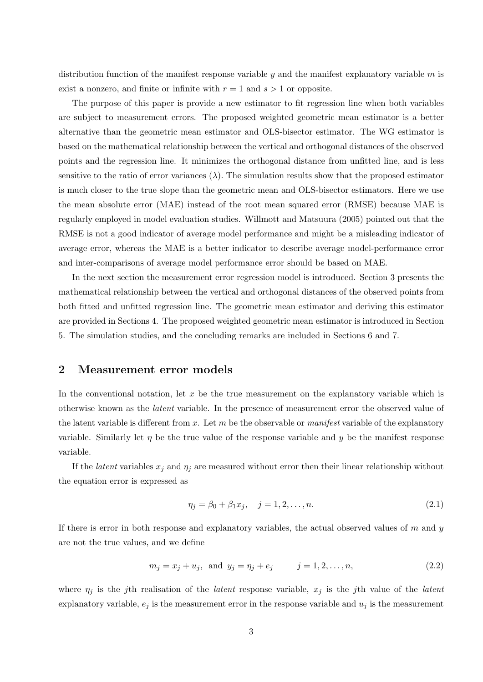distribution function of the manifest response variable *y* and the manifest explanatory variable *m* is exist a nonzero, and finite or infinite with  $r = 1$  and  $s > 1$  or opposite.

The purpose of this paper is provide a new estimator to fit regression line when both variables are subject to measurement errors. The proposed weighted geometric mean estimator is a better alternative than the geometric mean estimator and OLS-bisector estimator. The WG estimator is based on the mathematical relationship between the vertical and orthogonal distances of the observed points and the regression line. It minimizes the orthogonal distance from unfitted line, and is less sensitive to the ratio of error variances  $(\lambda)$ . The simulation results show that the proposed estimator is much closer to the true slope than the geometric mean and OLS-bisector estimators. Here we use the mean absolute error (MAE) instead of the root mean squared error (RMSE) because MAE is regularly employed in model evaluation studies. Willmott and Matsuura (2005) pointed out that the RMSE is not a good indicator of average model performance and might be a misleading indicator of average error, whereas the MAE is a better indicator to describe average model-performance error and inter-comparisons of average model performance error should be based on MAE.

In the next section the measurement error regression model is introduced. Section 3 presents the mathematical relationship between the vertical and orthogonal distances of the observed points from both fitted and unfitted regression line. The geometric mean estimator and deriving this estimator are provided in Sections 4. The proposed weighted geometric mean estimator is introduced in Section 5. The simulation studies, and the concluding remarks are included in Sections 6 and 7.

# **2 Measurement error models**

In the conventional notation, let x be the true measurement on the explanatory variable which is otherwise known as the *latent* variable. In the presence of measurement error the observed value of the latent variable is different from *x*. Let *m* be the observable or *manifest* variable of the explanatory variable. Similarly let  $\eta$  be the true value of the response variable and *y* be the manifest response variable.

If the *latent* variables  $x_j$  and  $\eta_j$  are measured without error then their linear relationship without the equation error is expressed as

$$
\eta_j = \beta_0 + \beta_1 x_j, \quad j = 1, 2, \dots, n. \tag{2.1}
$$

If there is error in both response and explanatory variables, the actual observed values of *m* and *y* are not the true values, and we define

$$
m_j = x_j + u_j
$$
, and  $y_j = \eta_j + e_j$   $j = 1, 2, ..., n,$  (2.2)

where *η<sup>j</sup>* is the *j*th realisation of the *latent* response variable, *x<sup>j</sup>* is the *j*th value of the *latent* explanatory variable,  $e_j$  is the measurement error in the response variable and  $u_j$  is the measurement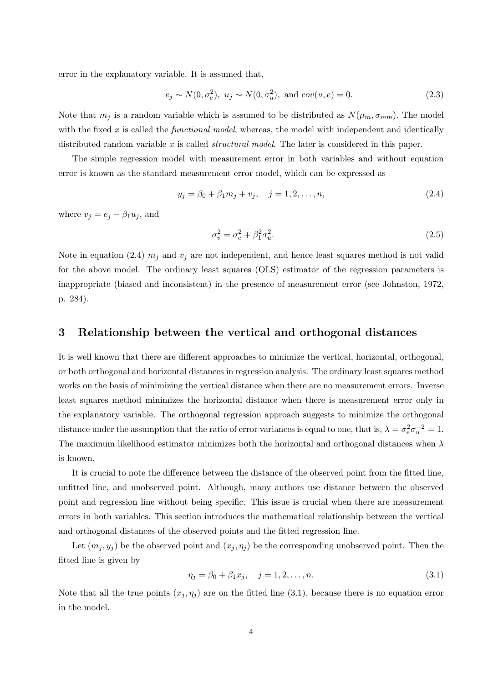error in the explanatory variable. It is assumed that,

$$
e_j \sim N(0, \sigma_e^2), u_j \sim N(0, \sigma_u^2), \text{ and } cov(u, e) = 0.
$$
 (2.3)

Note that  $m_j$  is a random variable which is assumed to be distributed as  $N(\mu_m, \sigma_{mm})$ . The model with the fixed *x* is called the *functional model*, whereas, the model with independent and identically distributed random variable *x* is called *structural model*. The later is considered in this paper.

The simple regression model with measurement error in both variables and without equation error is known as the standard measurement error model, which can be expressed as

$$
y_j = \beta_0 + \beta_1 m_j + v_j, \quad j = 1, 2, \dots, n,
$$
\n(2.4)

where  $v_j = e_j - \beta_1 u_j$ , and

$$
\sigma_v^2 = \sigma_e^2 + \beta_1^2 \sigma_u^2. \tag{2.5}
$$

Note in equation (2.4)  $m_j$  and  $v_j$  are not independent, and hence least squares method is not valid for the above model. The ordinary least squares (OLS) estimator of the regression parameters is inappropriate (biased and inconsistent) in the presence of measurement error (see Johnston, 1972, p. 284).

## **3 Relationship between the vertical and orthogonal distances**

It is well known that there are different approaches to minimize the vertical, horizontal, orthogonal, or both orthogonal and horizontal distances in regression analysis. The ordinary least squares method works on the basis of minimizing the vertical distance when there are no measurement errors. Inverse least squares method minimizes the horizontal distance when there is measurement error only in the explanatory variable. The orthogonal regression approach suggests to minimize the orthogonal distance under the assumption that the ratio of error variances is equal to one, that is,  $\lambda = \sigma_e^2 \sigma_u^{-2} = 1$ . The maximum likelihood estimator minimizes both the horizontal and orthogonal distances when *λ* is known.

It is crucial to note the difference between the distance of the observed point from the fitted line, unfitted line, and unobserved point. Although, many authors use distance between the observed point and regression line without being specific. This issue is crucial when there are measurement errors in both variables. This section introduces the mathematical relationship between the vertical and orthogonal distances of the observed points and the fitted regression line.

Let  $(m_j, y_j)$  be the observed point and  $(x_j, \eta_j)$  be the corresponding unobserved point. Then the fitted line is given by

$$
\eta_j = \beta_0 + \beta_1 x_j, \quad j = 1, 2, \dots, n. \tag{3.1}
$$

Note that all the true points  $(x_j, \eta_j)$  are on the fitted line (3.1), because there is no equation error in the model.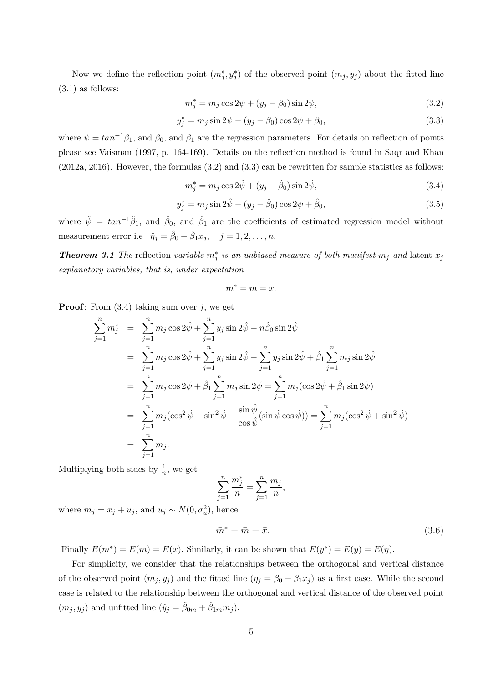Now we define the reflection point  $(m_j^*, y_j^*)$  of the observed point  $(m_j, y_j)$  about the fitted line  $(3.1)$  as follows:

$$
m_j^* = m_j \cos 2\psi + (y_j - \beta_0) \sin 2\psi,\tag{3.2}
$$

$$
y_j^* = m_j \sin 2\psi - (y_j - \beta_0) \cos 2\psi + \beta_0, \tag{3.3}
$$

where  $\psi = \tan^{-1}\beta_1$ , and  $\beta_0$ , and  $\beta_1$  are the regression parameters. For details on reflection of points please see Vaisman (1997, p. 164-169). Details on the reflection method is found in Saqr and Khan (2012a, 2016). However, the formulas (3.2) and (3.3) can be rewritten for sample statistics as follows:

$$
m_j^* = m_j \cos 2\hat{\psi} + (y_j - \hat{\beta}_0) \sin 2\hat{\psi},
$$
\n(3.4)

$$
y_j^* = m_j \sin 2\hat{\psi} - (y_j - \hat{\beta}_0) \cos 2\psi + \hat{\beta}_0, \tag{3.5}
$$

where  $\hat{\psi} = \tan^{-1}\hat{\beta}_1$ , and  $\hat{\beta}_0$ , and  $\hat{\beta}_1$  are the coefficients of estimated regression model without measurement error i.e  $\hat{\eta}_j = \hat{\beta}_0 + \hat{\beta}_1 x_j$ ,  $j = 1, 2, ..., n$ .

*Theorem 3.1 The* reflection *variable*  $m_j^*$  *is an unbiased measure of both manifest*  $m_j$  *and* latent  $x_j$ *explanatory variables, that is, under expectation*

$$
\bar{m}^* = \bar{m} = \bar{x}.
$$

**Proof**: From (3.4) taking sum over *j*, we get

$$
\sum_{j=1}^{n} m_{j}^{*} = \sum_{j=1}^{n} m_{j} \cos 2\hat{\psi} + \sum_{j=1}^{n} y_{j} \sin 2\hat{\psi} - n\hat{\beta}_{0} \sin 2\hat{\psi}
$$
\n
$$
= \sum_{j=1}^{n} m_{j} \cos 2\hat{\psi} + \sum_{j=1}^{n} y_{j} \sin 2\hat{\psi} - \sum_{j=1}^{n} y_{j} \sin 2\hat{\psi} + \hat{\beta}_{1} \sum_{j=1}^{n} m_{j} \sin 2\hat{\psi}
$$
\n
$$
= \sum_{j=1}^{n} m_{j} \cos 2\hat{\psi} + \hat{\beta}_{1} \sum_{j=1}^{n} m_{j} \sin 2\hat{\psi} = \sum_{j=1}^{n} m_{j} (\cos 2\hat{\psi} + \hat{\beta}_{1} \sin 2\hat{\psi})
$$
\n
$$
= \sum_{j=1}^{n} m_{j} (\cos^{2} \hat{\psi} - \sin^{2} \hat{\psi} + \frac{\sin \hat{\psi}}{\cos \hat{\psi}} (\sin \hat{\psi} \cos \hat{\psi})) = \sum_{j=1}^{n} m_{j} (\cos^{2} \hat{\psi} + \sin^{2} \hat{\psi})
$$
\n
$$
= \sum_{j=1}^{n} m_{j}.
$$

Multiplying both sides by  $\frac{1}{n}$ , we get

$$
\sum_{j=1}^{n} \frac{m_j^*}{n} = \sum_{j=1}^{n} \frac{m_j}{n},
$$

where  $m_j = x_j + u_j$ , and  $u_j \sim N(0, \sigma_u^2)$ , hence

$$
\bar{m}^* = \bar{m} = \bar{x}.\tag{3.6}
$$

Finally  $E(\bar{m}^*) = E(\bar{m}) = E(\bar{x})$ . Similarly, it can be shown that  $E(\bar{y}^*) = E(\bar{y}) = E(\bar{\eta})$ .

For simplicity, we consider that the relationships between the orthogonal and vertical distance of the observed point  $(m_j, y_j)$  and the fitted line  $(\eta_j = \beta_0 + \beta_1 x_j)$  as a first case. While the second case is related to the relationship between the orthogonal and vertical distance of the observed point  $(m_j, y_j)$  and unfitted line  $(\hat{y}_j = \hat{\beta}_{0m} + \hat{\beta}_{1m} m_j)$ .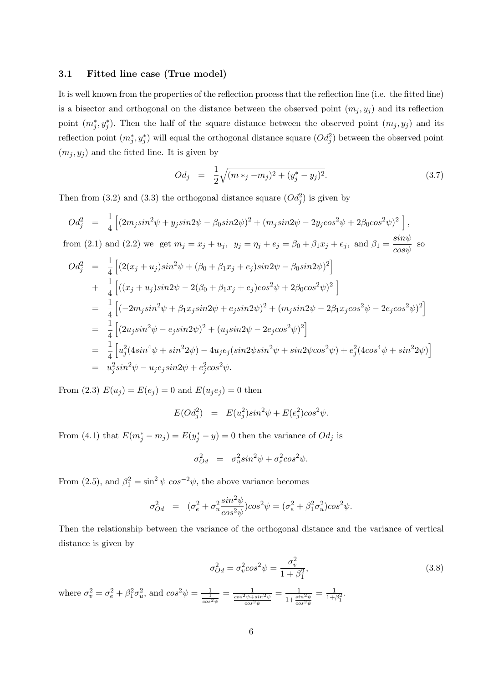#### **3.1 Fitted line case (True model)**

It is well known from the properties of the reflection process that the reflection line (i.e. the fitted line) is a bisector and orthogonal on the distance between the observed point  $(m_j, y_j)$  and its reflection point  $(m_j^*, y_j^*)$ . Then the half of the square distance between the observed point  $(m_j, y_j)$  and its reflection point  $(m_j^*, y_j^*)$  will equal the orthogonal distance square  $(Od_j^2)$  between the observed point  $(m_j, y_j)$  and the fitted line. It is given by

$$
Od_j = \frac{1}{2}\sqrt{(m *_{j} - m_{j})^{2} + (y_{j}^{*} - y_{j})^{2}}.
$$
\n(3.7)

Then from (3.2) and (3.3) the orthogonal distance square  $(Od_j^2)$  is given by

$$
Od_j^2 = \frac{1}{4} \left[ (2m_j \sin^2 \psi + y_j \sin 2\psi - \beta_0 \sin 2\psi)^2 + (m_j \sin 2\psi - 2y_j \cos^2 \psi + 2\beta_0 \cos^2 \psi)^2 \right],
$$
  
from (2.1) and (2.2) we get  $m_j = x_j + u_j$ ,  $y_j = \eta_j + e_j = \beta_0 + \beta_1 x_j + e_j$ , and  $\beta_1 = \frac{\sin \psi}{\cos \psi}$  so  

$$
Od_j^2 = \frac{1}{4} \left[ (2(x_j + u_j) \sin^2 \psi + (\beta_0 + \beta_1 x_j + e_j) \sin 2\psi - \beta_0 \sin 2\psi)^2 \right]
$$

$$
+ \frac{1}{4} \left[ ((x_j + u_j) \sin 2\psi - 2(\beta_0 + \beta_1 x_j + e_j) \cos^2 \psi + 2\beta_0 \cos^2 \psi)^2 \right]
$$

$$
= \frac{1}{4} \left[ (-2m_j \sin^2 \psi + \beta_1 x_j \sin 2\psi + e_j \sin 2\psi)^2 + (m_j \sin 2\psi - 2\beta_1 x_j \cos^2 \psi - 2e_j \cos^2 \psi)^2 \right]
$$

$$
= \frac{1}{4} \left[ (2u_j \sin^2 \psi - e_j \sin 2\psi)^2 + (u_j \sin 2\psi - 2e_j \cos^2 \psi)^2 \right]
$$

$$
= \frac{1}{4} \left[ u_j^2 (4\sin^4 \psi + \sin^2 2\psi) - 4u_j e_j (\sin 2\psi \sin^2 \psi + \sin 2\psi \cos^2 \psi) + e_j^2 (4\cos^4 \psi + \sin^2 2\psi) \right]
$$

$$
= u_j^2 \sin^2 \psi - u_j e_j \sin 2\psi + e_j^2 \cos^2 \psi.
$$

From (2.3)  $E(u_j) = E(e_j) = 0$  and  $E(u_j e_j) = 0$  then

$$
E(Od_j^2) = E(u_j^2)sin^2\psi + E(e_j^2)cos^2\psi.
$$

From (4.1) that  $E(m_j^* - m_j) = E(y_j^* - y) = 0$  then the variance of  $Od_j$  is

$$
\sigma_{Od}^2 = \sigma_u^2 sin^2 \psi + \sigma_e^2 cos^2 \psi.
$$

From (2.5), and  $\beta_1^2 = \sin^2 \psi \cos^{-2} \psi$ , the above variance becomes

$$
\sigma_{Od}^2 = (\sigma_e^2 + \sigma_u^2 \frac{\sin^2 \psi}{\cos^2 \psi}) \cos^2 \psi = (\sigma_e^2 + \beta_1^2 \sigma_u^2) \cos^2 \psi.
$$

Then the relationship between the variance of the orthogonal distance and the variance of vertical distance is given by

$$
\sigma_{Od}^2 = \sigma_v^2 \cos^2 \psi = \frac{\sigma_v^2}{1 + \beta_1^2},\tag{3.8}
$$

where  $\sigma_v^2 = \sigma_e^2 + \beta_1^2 \sigma_u^2$ , and  $\cos^2 \psi = \frac{1}{\frac{1}{\cos^2 \psi}}$  $=\frac{1}{\frac{\cos^2 \psi + \sin^2 \psi}{\cos^2 \psi}}$  $=\frac{1}{1+\frac{\sin^2\psi}{\cos^2\psi}}$  $=$   $\frac{1}{11}$  $\frac{1}{1+\beta_1^2}$ .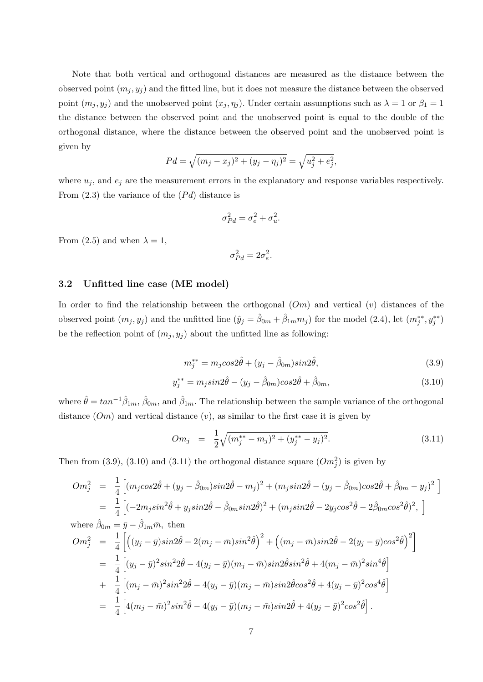Note that both vertical and orthogonal distances are measured as the distance between the observed point  $(m_j, y_j)$  and the fitted line, but it does not measure the distance between the observed point  $(m_j, y_j)$  and the unobserved point  $(x_j, \eta_j)$ . Under certain assumptions such as  $\lambda = 1$  or  $\beta_1 = 1$ the distance between the observed point and the unobserved point is equal to the double of the orthogonal distance, where the distance between the observed point and the unobserved point is given by

$$
Pd = \sqrt{(m_j - x_j)^2 + (y_j - \eta_j)^2} = \sqrt{u_j^2 + e_j^2},
$$

where  $u_j$ , and  $e_j$  are the measurement errors in the explanatory and response variables respectively. From  $(2.3)$  the variance of the  $(Pd)$  distance is

$$
\sigma_{Pd}^2 = \sigma_e^2 + \sigma_u^2.
$$

From (2.5) and when  $\lambda = 1$ ,

$$
\sigma_{Pd}^2 = 2\sigma_e^2.
$$

#### **3.2 Unfitted line case (ME model)**

In order to find the relationship between the orthogonal (*Om*) and vertical (*v*) distances of the observed point  $(m_j, y_j)$  and the unfitted line  $(\hat{y}_j = \hat{\beta}_{0m} + \hat{\beta}_{1m} m_j)$  for the model (2.4), let  $(m_j^{**}, y_j^{**})$ be the reflection point of  $(m_j, y_j)$  about the unfitted line as following:

$$
m_j^{**} = m_j \cos 2\hat{\theta} + (y_j - \hat{\beta}_{0m}) \sin 2\hat{\theta},\tag{3.9}
$$

$$
y_j^{**} = m_j \sin 2\hat{\theta} - (y_j - \hat{\beta}_{0m}) \cos 2\hat{\theta} + \hat{\beta}_{0m},
$$
\n(3.10)

where  $\hat{\theta} = \tan^{-1}\hat{\beta}_{1m}, \hat{\beta}_{0m}$ , and  $\hat{\beta}_{1m}$ . The relationship between the sample variance of the orthogonal distance (*Om*) and vertical distance (*v*)*,* as similar to the first case it is given by

$$
Om_j = \frac{1}{2} \sqrt{(m_j^{**} - m_j)^2 + (y_j^{**} - y_j)^2}.
$$
\n(3.11)

Then from (3.9), (3.10) and (3.11) the orthogonal distance square  $(Om_j^2)$  is given by

$$
Om_{j}^{2} = \frac{1}{4} \left[ (m_{j}cos2\hat{\theta} + (y_{j} - \hat{\beta}_{0m})sin2\hat{\theta} - m_{j})^{2} + (m_{j}sin2\hat{\theta} - (y_{j} - \hat{\beta}_{0m})cos2\hat{\theta} + \hat{\beta}_{0m} - y_{j})^{2} \right]
$$
  
\n
$$
= \frac{1}{4} \left[ (-2m_{j}sin^{2}\hat{\theta} + y_{j}sin2\hat{\theta} - \hat{\beta}_{0m}sin2\hat{\theta})^{2} + (m_{j}sin2\hat{\theta} - 2y_{j}cos^{2}\hat{\theta} - 2\hat{\beta}_{0m}cos^{2}\hat{\theta})^{2}, \right]
$$
  
\nwhere  $\hat{\beta}_{0m} = \bar{y} - \hat{\beta}_{1m}\bar{m}$ , then  
\n
$$
Om_{j}^{2} = \frac{1}{4} \left[ ((y_{j} - \bar{y})sin2\hat{\theta} - 2(m_{j} - \bar{m})sin^{2}\hat{\theta})^{2} + ((m_{j} - \bar{m})sin2\hat{\theta} - 2(y_{j} - \bar{y})cos^{2}\hat{\theta})^{2} \right]
$$
  
\n
$$
= \frac{1}{4} \left[ (y_{j} - \bar{y})^{2}sin^{2}2\hat{\theta} - 4(y_{j} - \bar{y})(m_{j} - \bar{m})sin2\hat{\theta}sin^{2}\hat{\theta} + 4(m_{j} - \bar{m})^{2}sin^{4}\hat{\theta} \right]
$$
  
\n
$$
+ \frac{1}{4} \left[ (m_{j} - \bar{m})^{2}sin^{2}2\hat{\theta} - 4(y_{j} - \bar{y})(m_{j} - \bar{m})sin2\hat{\theta}cos^{2}\hat{\theta} + 4(y_{j} - \bar{y})^{2}cos^{4}\hat{\theta} \right]
$$
  
\n
$$
= \frac{1}{4} \left[ 4(m_{j} - \bar{m})^{2}sin^{2}\hat{\theta} - 4(y_{j} - \bar{y})(m_{j} - \bar{m})sin2\hat{\theta} + 4(y_{j} - \bar{y})^{2}cos^{2}\hat{\theta} \right].
$$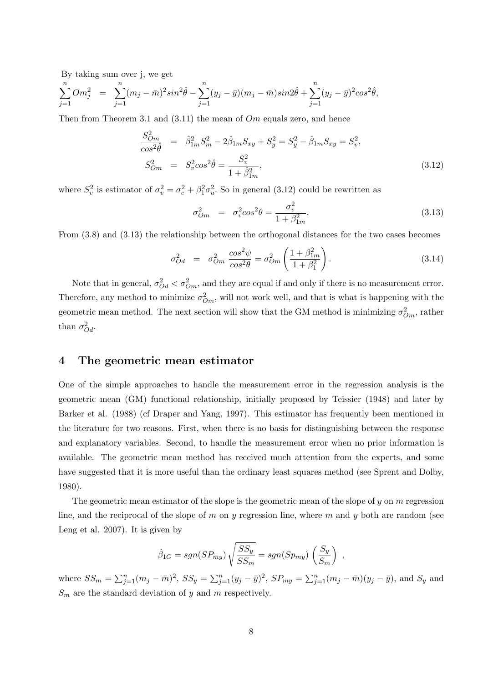By taking sum over j, we get

$$
\sum_{j=1}^{n} Om_j^2 = \sum_{j=1}^{n} (m_j - \bar{m})^2 sin^2 \hat{\theta} - \sum_{j=1}^{n} (y_j - \bar{y})(m_j - \bar{m}) sin2\hat{\theta} + \sum_{j=1}^{n} (y_j - \bar{y})^2 cos^2 \hat{\theta},
$$

Then from Theorem 3.1 and (3.11) the mean of *Om* equals zero, and hence

$$
\frac{S_{Om}^2}{\cos^2 \hat{\theta}} = \hat{\beta}_{1m}^2 S_m^2 - 2\hat{\beta}_{1m} S_{xy} + S_y^2 = S_y^2 - \hat{\beta}_{1m} S_{xy} = S_v^2, \nS_{Om}^2 = S_v^2 \cos^2 \hat{\theta} = \frac{S_v^2}{1 + \hat{\beta}_{1m}^2},
$$
\n(3.12)

where  $S_v^2$  is estimator of  $\sigma_v^2 = \sigma_e^2 + \beta_1^2 \sigma_u^2$ . So in general (3.12) could be rewritten as

$$
\sigma_{Om}^2 = \sigma_v^2 \cos^2 \theta = \frac{\sigma_v^2}{1 + \beta_{Im}^2}.
$$
\n(3.13)

From (3.8) and (3.13) the relationship between the orthogonal distances for the two cases becomes

$$
\sigma_{Od}^2 = \sigma_{Om}^2 \frac{\cos^2 \psi}{\cos^2 \theta} = \sigma_{Om}^2 \left( \frac{1 + \beta_{1m}^2}{1 + \beta_1^2} \right). \tag{3.14}
$$

Note that in general,  $\sigma_{Od}^2 < \sigma_{Om}^2$ , and they are equal if and only if there is no measurement error. Therefore, any method to minimize  $\sigma_{Om}^2$ , will not work well, and that is what is happening with the geometric mean method. The next section will show that the GM method is minimizing  $\sigma_{Om}^2$ , rather than  $\sigma_{Od}^2$ .

## **4 The geometric mean estimator**

One of the simple approaches to handle the measurement error in the regression analysis is the geometric mean (GM) functional relationship, initially proposed by Teissier (1948) and later by Barker et al. (1988) (cf Draper and Yang, 1997). This estimator has frequently been mentioned in the literature for two reasons. First, when there is no basis for distinguishing between the response and explanatory variables. Second, to handle the measurement error when no prior information is available. The geometric mean method has received much attention from the experts, and some have suggested that it is more useful than the ordinary least squares method (see Sprent and Dolby, 1980).

The geometric mean estimator of the slope is the geometric mean of the slope of *y* on *m* regression line, and the reciprocal of the slope of *m* on *y* regression line, where *m* and *y* both are random (see Leng et al. 2007). It is given by

$$
\hat{\beta}_{1G} = sgn(SP_{my}) \sqrt{\frac{SS_y}{SS_m}} = sgn(Sp_{my}) \left(\frac{S_y}{S_m}\right) ,
$$

where  $SS_m = \sum_{j=1}^n (m_j - \bar{m})^2$ ,  $SS_y = \sum_{j=1}^n (y_j - \bar{y})^2$ ,  $SP_{my} = \sum_{j=1}^n (m_j - \bar{m})(y_j - \bar{y})$ , and  $S_y$  and *S<sup>m</sup>* are the standard deviation of *y* and *m* respectively.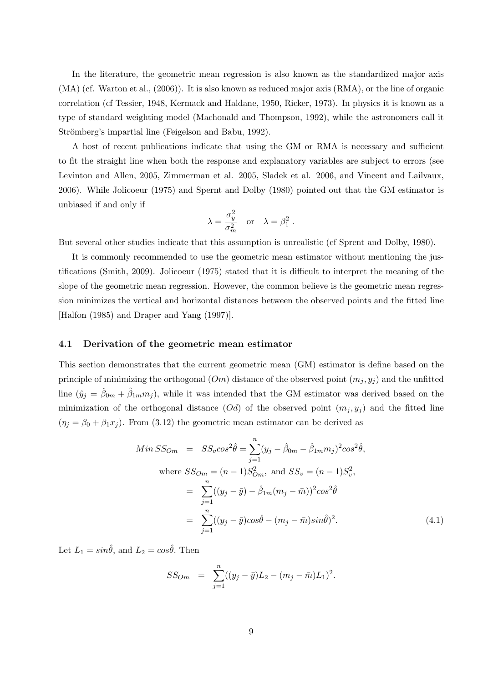In the literature, the geometric mean regression is also known as the standardized major axis (MA) (cf. Warton et al., (2006)). It is also known as reduced major axis (RMA), or the line of organic correlation (cf Tessier, 1948, Kermack and Haldane, 1950, Ricker, 1973). In physics it is known as a type of standard weighting model (Machonald and Thompson, 1992), while the astronomers call it Strömberg's impartial line (Feigelson and Babu, 1992).

A host of recent publications indicate that using the GM or RMA is necessary and sufficient to fit the straight line when both the response and explanatory variables are subject to errors (see Levinton and Allen, 2005, Zimmerman et al. 2005, Sladek et al. 2006, and Vincent and Lailvaux, 2006). While Jolicoeur (1975) and Spernt and Dolby (1980) pointed out that the GM estimator is unbiased if and only if

$$
\lambda = \frac{\sigma_y^2}{\sigma_m^2} \quad \text{or} \quad \lambda = \beta_1^2 \; .
$$

But several other studies indicate that this assumption is unrealistic (cf Sprent and Dolby, 1980).

It is commonly recommended to use the geometric mean estimator without mentioning the justifications (Smith, 2009). Jolicoeur (1975) stated that it is difficult to interpret the meaning of the slope of the geometric mean regression. However, the common believe is the geometric mean regression minimizes the vertical and horizontal distances between the observed points and the fitted line [Halfon (1985) and Draper and Yang (1997)].

#### **4.1 Derivation of the geometric mean estimator**

This section demonstrates that the current geometric mean (GM) estimator is define based on the principle of minimizing the orthogonal  $(Om)$  distance of the observed point  $(m_i, y_i)$  and the unfitted line  $(\hat{y}_j = \hat{\beta}_{0m} + \hat{\beta}_{1m}m_j)$ , while it was intended that the GM estimator was derived based on the minimization of the orthogonal distance  $(Od)$  of the observed point  $(m_j, y_j)$  and the fitted line  $(\eta_j = \beta_0 + \beta_1 x_j)$ . From (3.12) the geometric mean estimator can be derived as

$$
Min SS_{Om} = SS_v cos^2 \hat{\theta} = \sum_{j=1}^{n} (y_j - \hat{\beta}_{0m} - \hat{\beta}_{1m} m_j)^2 cos^2 \hat{\theta},
$$
  
where  $SS_{Om} = (n-1)S_{Om}^2$ , and  $SS_v = (n-1)S_v^2$ ,  

$$
= \sum_{j=1}^{n} ((y_j - \bar{y}) - \hat{\beta}_{1m} (m_j - \bar{m}))^2 cos^2 \hat{\theta}
$$

$$
= \sum_{j=1}^{n} ((y_j - \bar{y}) cos \hat{\theta} - (m_j - \bar{m}) sin \hat{\theta})^2.
$$
(4.1)

Let  $L_1 = \sin \hat{\theta}$ , and  $L_2 = \cos \hat{\theta}$ . Then

$$
SS_{Om} = \sum_{j=1}^{n} ((y_j - \bar{y})L_2 - (m_j - \bar{m})L_1)^2.
$$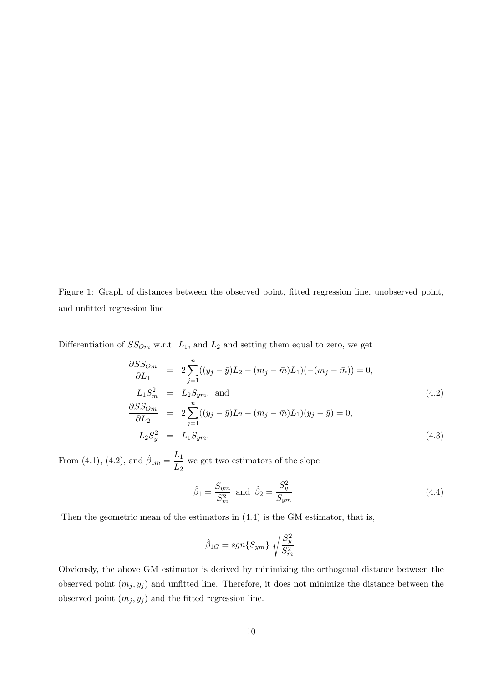Figure 1: Graph of distances between the observed point, fitted regression line, unobserved point, and unfitted regression line

Differentiation of  $SS_{Om}$  w.r.t.  $L_1$ , and  $L_2$  and setting them equal to zero, we get

$$
\frac{\partial SS_{Om}}{\partial L_1} = 2 \sum_{j=1}^n ((y_j - \bar{y})L_2 - (m_j - \bar{m})L_1)(-(m_j - \bar{m})) = 0,\nL_1 S_m^2 = L_2 S_{ym}, and\n\frac{\partial SS_{Om}}{\partial L_2} = 2 \sum_{j=1}^n ((y_j - \bar{y})L_2 - (m_j - \bar{m})L_1)(y_j - \bar{y}) = 0,\nL_2 S_y^2 = L_1 S_{ym}.
$$
\n(4.3)

From (4.1), (4.2), and  $\hat{\beta}_{1m} = \frac{L_1}{L_1}$  $\frac{L_1}{L_2}$  we get two estimators of the slope

$$
\hat{\beta}_1 = \frac{S_{ym}}{S_m^2} \text{ and } \hat{\beta}_2 = \frac{S_y^2}{S_{ym}} \tag{4.4}
$$

Then the geometric mean of the estimators in (4.4) is the GM estimator, that is,

$$
\hat{\beta}_{1G}=sgn\{S_{ym}\}\sqrt{\frac{S_y^2}{S_m^2}}.
$$

Obviously, the above GM estimator is derived by minimizing the orthogonal distance between the observed point  $(m_j, y_j)$  and unfitted line. Therefore, it does not minimize the distance between the observed point  $(m_j, y_j)$  and the fitted regression line.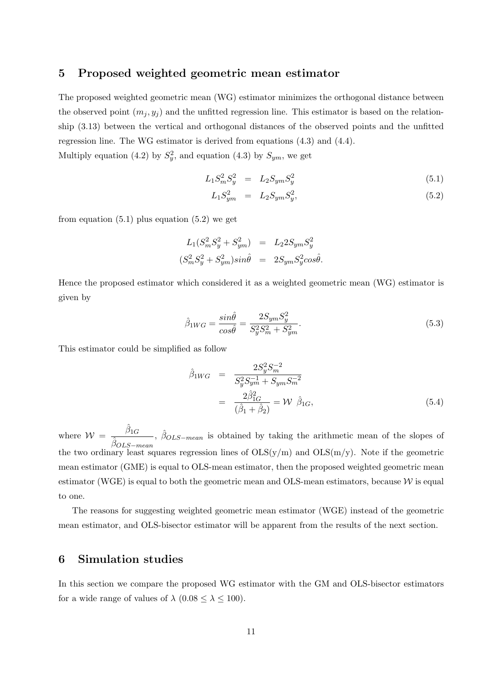## **5 Proposed weighted geometric mean estimator**

The proposed weighted geometric mean (WG) estimator minimizes the orthogonal distance between the observed point  $(m_j, y_j)$  and the unfitted regression line. This estimator is based on the relationship (3.13) between the vertical and orthogonal distances of the observed points and the unfitted regression line. The WG estimator is derived from equations (4.3) and (4.4).

Multiply equation (4.2) by  $S_y^2$ , and equation (4.3) by  $S_{ym}$ , we get

$$
L_1 S_m^2 S_y^2 = L_2 S_{ym} S_y^2 \tag{5.1}
$$

$$
L_1 S_{ym}^2 = L_2 S_{ym} S_y^2, \tag{5.2}
$$

from equation  $(5.1)$  plus equation  $(5.2)$  we get

$$
L_1(S_m^2 S_y^2 + S_{ym}^2) = L_2 2S_{ym} S_y^2
$$
  

$$
(S_m^2 S_y^2 + S_{ym}^2) sin\hat{\theta} = 2S_{ym} S_y^2 cos\hat{\theta}.
$$

Hence the proposed estimator which considered it as a weighted geometric mean (WG) estimator is given by

$$
\hat{\beta}_{1WG} = \frac{\sin\hat{\theta}}{\cos\hat{\theta}} = \frac{2S_{ym}S_y^2}{S_y^2S_m^2 + S_{ym}^2}.\tag{5.3}
$$

This estimator could be simplified as follow

$$
\hat{\beta}_{1WG} = \frac{2S_y^2 S_m^{-2}}{S_y^2 S_{ym}^{-1} + S_{ym} S_m^{-2}} \n= \frac{2\hat{\beta}_{1G}^2}{(\hat{\beta}_1 + \hat{\beta}_2)} = \mathcal{W} \hat{\beta}_{1G},
$$
\n(5.4)

where  $W = \frac{\hat{\beta}_{1G}}{\hat{\beta}}$ *<sup>β</sup>*ˆ*OLS−mean , <sup>β</sup>*ˆ*OLS−mean* is obtained by taking the arithmetic mean of the slopes of the two ordinary least squares regression lines of  $OLS(y/m)$  and  $OLS(m/y)$ . Note if the geometric mean estimator (GME) is equal to OLS-mean estimator, then the proposed weighted geometric mean estimator (WGE) is equal to both the geometric mean and OLS-mean estimators, because  $W$  is equal to one.

The reasons for suggesting weighted geometric mean estimator (WGE) instead of the geometric mean estimator, and OLS-bisector estimator will be apparent from the results of the next section.

## **6 Simulation studies**

In this section we compare the proposed WG estimator with the GM and OLS-bisector estimators for a wide range of values of  $\lambda$  (0.08  $\leq \lambda \leq 100$ ).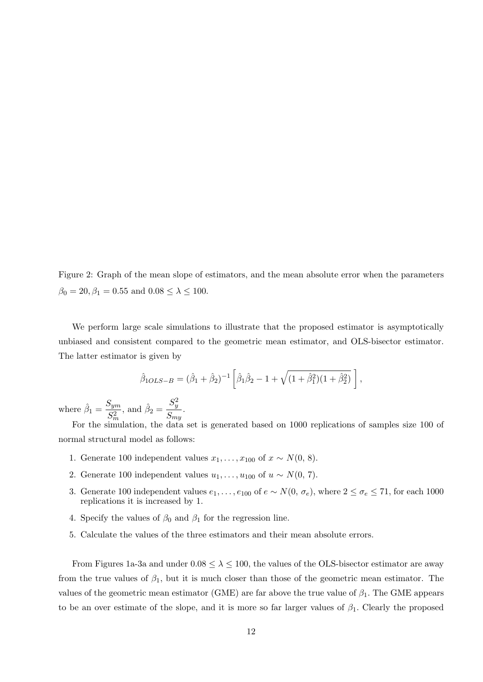Figure 2: Graph of the mean slope of estimators, and the mean absolute error when the parameters  $\beta_0 = 20, \beta_1 = 0.55$  and  $0.08 \leq \lambda \leq 100$ .

We perform large scale simulations to illustrate that the proposed estimator is asymptotically unbiased and consistent compared to the geometric mean estimator, and OLS-bisector estimator. The latter estimator is given by

$$
\hat{\beta}_{1OLS-B} = (\hat{\beta}_1 + \hat{\beta}_2)^{-1} \left[ \hat{\beta}_1 \hat{\beta}_2 - 1 + \sqrt{(1 + \hat{\beta}_1^2)(1 + \hat{\beta}_2^2)} \right],
$$

where  $\hat{\beta}_1 = \frac{S_{ym}}{C^2}$ *S*2 *m ,* and  $\hat{\beta}_2 =$ *S* 2 *y*  $\frac{y}{S_{my}}$ .

For the simulation, the data set is generated based on 1000 replications of samples size 100 of normal structural model as follows:

- 1. Generate 100 independent values  $x_1, \ldots, x_{100}$  of  $x \sim N(0, 8)$ .
- 2. Generate 100 independent values  $u_1, \ldots, u_{100}$  of  $u \sim N(0, 7)$ .
- 3. Generate 100 independent values  $e_1, \ldots, e_{100}$  of  $e \sim N(0, \sigma_e)$ , where  $2 \leq \sigma_e \leq 71$ , for each 1000 replications it is increased by 1.
- 4. Specify the values of  $\beta_0$  and  $\beta_1$  for the regression line.
- 5. Calculate the values of the three estimators and their mean absolute errors.

From Figures 1a-3a and under  $0.08 \le \lambda \le 100$ , the values of the OLS-bisector estimator are away from the true values of  $\beta_1$ , but it is much closer than those of the geometric mean estimator. The values of the geometric mean estimator (GME) are far above the true value of *β*1*.* The GME appears to be an over estimate of the slope, and it is more so far larger values of  $\beta_1$ . Clearly the proposed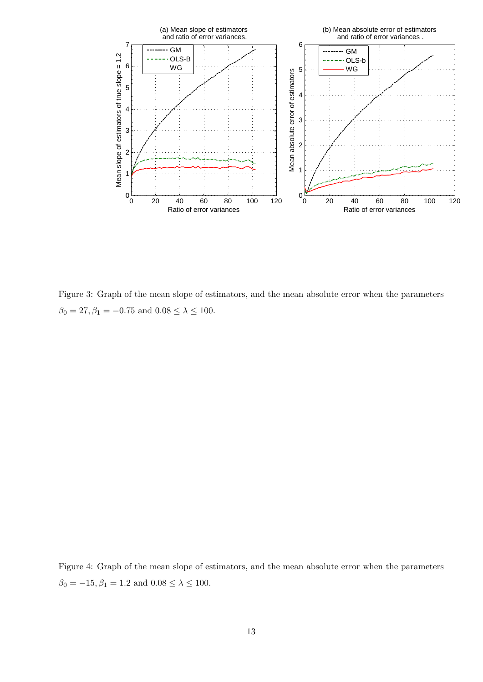

Figure 3: Graph of the mean slope of estimators, and the mean absolute error when the parameters  $\beta_0 = 27, \beta_1 = -0.75$  and  $0.08 \le \lambda \le 100$ .

Figure 4: Graph of the mean slope of estimators, and the mean absolute error when the parameters  $\beta_0 = -15, \beta_1 = 1.2$  and  $0.08 \le \lambda \le 100$ .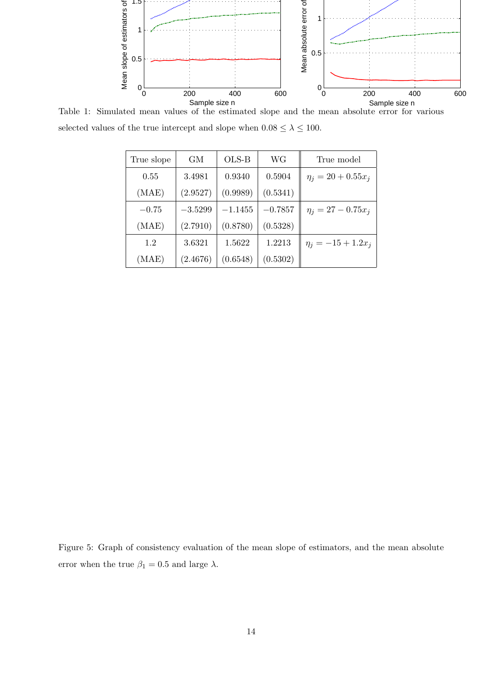

Table 1: Simulated mean values of the estimated slope and the mean absolute error for various selected values of the true intercept and slope when  $0.08 \leq \lambda \leq 100.$ 

| True slope | GМ        | OLS-B     | WG        | True model              |
|------------|-----------|-----------|-----------|-------------------------|
| 0.55       | 3.4981    | 0.9340    | 0.5904    | $\eta_i = 20 + 0.55x_i$ |
| (MAE)      | (2.9527)  | (0.9989)  | (0.5341)  |                         |
| $-0.75$    | $-3.5299$ | $-1.1455$ | $-0.7857$ | $\eta_i = 27 - 0.75x_i$ |
| (MAE)      | (2.7910)  | (0.8780)  | (0.5328)  |                         |
| 1.2        | 3.6321    | 1.5622    | 1.2213    | $\eta_i = -15 + 1.2x_i$ |
| (MAE)      | (2.4676)  | (0.6548)  | (0.5302)  |                         |

Figure 5: Graph of consistency evaluation of the mean slope of estimators, and the mean absolute error when the true  $\beta_1=0.5$  and large  $\lambda.$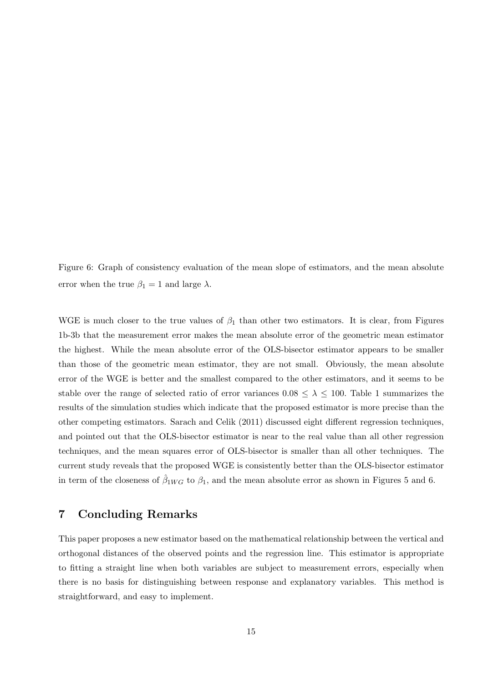Figure 6: Graph of consistency evaluation of the mean slope of estimators, and the mean absolute error when the true  $\beta_1 = 1$  and large  $\lambda$ .

WGE is much closer to the true values of  $\beta_1$  than other two estimators. It is clear, from Figures 1b-3b that the measurement error makes the mean absolute error of the geometric mean estimator the highest. While the mean absolute error of the OLS-bisector estimator appears to be smaller than those of the geometric mean estimator, they are not small. Obviously, the mean absolute error of the WGE is better and the smallest compared to the other estimators, and it seems to be stable over the range of selected ratio of error variances  $0.08 \leq \lambda \leq 100$ . Table 1 summarizes the results of the simulation studies which indicate that the proposed estimator is more precise than the other competing estimators. Sarach and Celik (2011) discussed eight different regression techniques, and pointed out that the OLS-bisector estimator is near to the real value than all other regression techniques, and the mean squares error of OLS-bisector is smaller than all other techniques. The current study reveals that the proposed WGE is consistently better than the OLS-bisector estimator in term of the closeness of  $\hat{\beta}_{1WG}$  to  $\beta_1$ , and the mean absolute error as shown in Figures 5 and 6.

## **7 Concluding Remarks**

This paper proposes a new estimator based on the mathematical relationship between the vertical and orthogonal distances of the observed points and the regression line. This estimator is appropriate to fitting a straight line when both variables are subject to measurement errors, especially when there is no basis for distinguishing between response and explanatory variables. This method is straightforward, and easy to implement.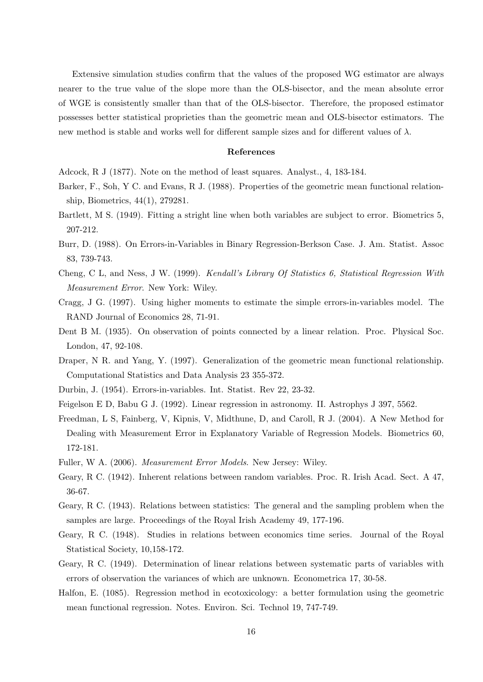Extensive simulation studies confirm that the values of the proposed WG estimator are always nearer to the true value of the slope more than the OLS-bisector, and the mean absolute error of WGE is consistently smaller than that of the OLS-bisector. Therefore, the proposed estimator possesses better statistical proprieties than the geometric mean and OLS-bisector estimators. The new method is stable and works well for different sample sizes and for different values of  $\lambda$ .

#### **References**

Adcock, R J (1877). Note on the method of least squares. Analyst., 4, 183-184.

- Barker, F., Soh, Y C. and Evans, R J. (1988). Properties of the geometric mean functional relationship, Biometrics, 44(1), 279281.
- Bartlett, M S. (1949). Fitting a stright line when both variables are subject to error. Biometrics 5, 207-212.
- Burr, D. (1988). On Errors-in-Variables in Binary Regression-Berkson Case. J. Am. Statist. Assoc 83, 739-743.
- Cheng, C L, and Ness, J W. (1999). *Kendall's Library Of Statistics 6, Statistical Regression With Measurement Error*. New York: Wiley.
- Cragg, J G. (1997). Using higher moments to estimate the simple errors-in-variables model. The RAND Journal of Economics 28, 71-91.
- Dent B M. (1935). On observation of points connected by a linear relation. Proc. Physical Soc. London, 47, 92-108.
- Draper, N R. and Yang, Y. (1997). Generalization of the geometric mean functional relationship. Computational Statistics and Data Analysis 23 355-372.
- Durbin, J. (1954). Errors-in-variables. Int. Statist. Rev 22, 23-32.
- Feigelson E D, Babu G J. (1992). Linear regression in astronomy. II. Astrophys J 397, 5562.
- Freedman, L S, Fainberg, V, Kipnis, V, Midthune, D, and Caroll, R J. (2004). A New Method for Dealing with Measurement Error in Explanatory Variable of Regression Models. Biometrics 60, 172-181.
- Fuller, W A. (2006). *Measurement Error Models*. New Jersey: Wiley.
- Geary, R C. (1942). Inherent relations between random variables. Proc. R. Irish Acad. Sect. A 47, 36-67.
- Geary, R C. (1943). Relations between statistics: The general and the sampling problem when the samples are large. Proceedings of the Royal Irish Academy 49, 177-196.
- Geary, R C. (1948). Studies in relations between economics time series. Journal of the Royal Statistical Society, 10,158-172.
- Geary, R C. (1949). Determination of linear relations between systematic parts of variables with errors of observation the variances of which are unknown. Econometrica 17, 30-58.
- Halfon, E. (1085). Regression method in ecotoxicology: a better formulation using the geometric mean functional regression. Notes. Environ. Sci. Technol 19, 747-749.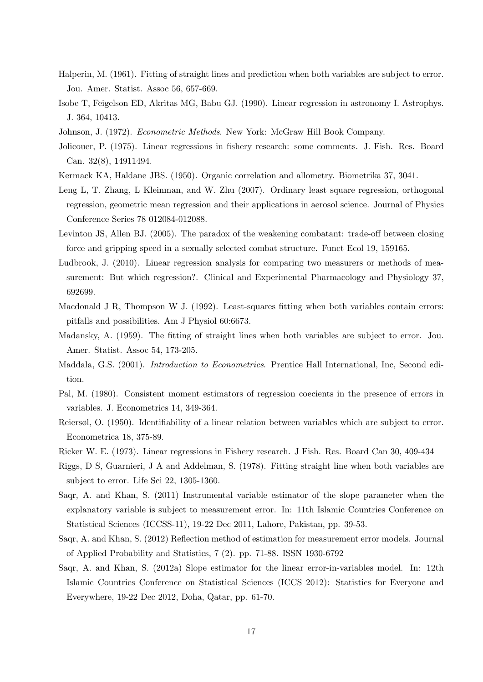- Halperin, M. (1961). Fitting of straight lines and prediction when both variables are subject to error. Jou. Amer. Statist. Assoc 56, 657-669.
- Isobe T, Feigelson ED, Akritas MG, Babu GJ. (1990). Linear regression in astronomy I. Astrophys. J. 364, 10413.
- Johnson, J. (1972). *Econometric Methods*. New York: McGraw Hill Book Company.
- Jolicouer, P. (1975). Linear regressions in fishery research: some comments. J. Fish. Res. Board Can. 32(8), 14911494.
- Kermack KA, Haldane JBS. (1950). Organic correlation and allometry. Biometrika 37, 3041.
- Leng L, T. Zhang, L Kleinman, and W. Zhu (2007). Ordinary least square regression, orthogonal regression, geometric mean regression and their applications in aerosol science. Journal of Physics Conference Series 78 012084-012088.
- Levinton JS, Allen BJ. (2005). The paradox of the weakening combatant: trade-off between closing force and gripping speed in a sexually selected combat structure. Funct Ecol 19, 159165.
- Ludbrook, J. (2010). Linear regression analysis for comparing two measurers or methods of measurement: But which regression?. Clinical and Experimental Pharmacology and Physiology 37, 692699.
- Macdonald J R, Thompson W J. (1992). Least-squares fitting when both variables contain errors: pitfalls and possibilities. Am J Physiol 60:6673.
- Madansky, A. (1959). The fitting of straight lines when both variables are subject to error. Jou. Amer. Statist. Assoc 54, 173-205.
- Maddala, G.S. (2001). *Introduction to Econometrics*. Prentice Hall International, Inc, Second edition.
- Pal, M. (1980). Consistent moment estimators of regression coecients in the presence of errors in variables. J. Econometrics 14, 349-364.
- Reiersøl, O. (1950). Identifiability of a linear relation between variables which are subject to error. Econometrica 18, 375-89.
- Ricker W. E. (1973). Linear regressions in Fishery research. J Fish. Res. Board Can 30, 409-434
- Riggs, D S, Guarnieri, J A and Addelman, S. (1978). Fitting straight line when both variables are subject to error. Life Sci 22, 1305-1360.
- Saqr, A. and Khan, S. (2011) Instrumental variable estimator of the slope parameter when the explanatory variable is subject to measurement error. In: 11th Islamic Countries Conference on Statistical Sciences (ICCSS-11), 19-22 Dec 2011, Lahore, Pakistan, pp. 39-53.
- Saqr, A. and Khan, S. (2012) Reflection method of estimation for measurement error models. Journal of Applied Probability and Statistics, 7 (2). pp. 71-88. ISSN 1930-6792
- Saqr, A. and Khan, S. (2012a) Slope estimator for the linear error-in-variables model. In: 12th Islamic Countries Conference on Statistical Sciences (ICCS 2012): Statistics for Everyone and Everywhere, 19-22 Dec 2012, Doha, Qatar, pp. 61-70.